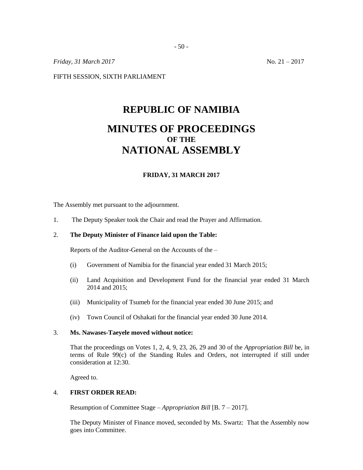*Friday, 31 March* 2017 No. 21 – 2017

FIFTH SESSION, SIXTH PARLIAMENT

# **REPUBLIC OF NAMIBIA MINUTES OF PROCEEDINGS OF THE NATIONAL ASSEMBLY**

### **FRIDAY, 31 MARCH 2017**

The Assembly met pursuant to the adjournment.

1. The Deputy Speaker took the Chair and read the Prayer and Affirmation.

## 2. **The Deputy Minister of Finance laid upon the Table:**

Reports of the Auditor-General on the Accounts of the –

- (i) Government of Namibia for the financial year ended 31 March 2015;
- (ii) Land Acquisition and Development Fund for the financial year ended 31 March 2014 and 2015;
- (iii) Municipality of Tsumeb for the financial year ended 30 June 2015; and
- (iv) Town Council of Oshakati for the financial year ended 30 June 2014.

#### 3. **Ms. Nawases-Taeyele moved without notice:**

That the proceedings on Votes 1, 2, 4, 9, 23, 26, 29 and 30 of the *Appropriation Bill* be, in terms of Rule 99(c) of the Standing Rules and Orders, not interrupted if still under consideration at 12:30.

Agreed to.

### 4. **FIRST ORDER READ:**

Resumption of Committee Stage – *Appropriation Bill* [B. 7 – 2017].

The Deputy Minister of Finance moved, seconded by Ms. Swartz: That the Assembly now goes into Committee.